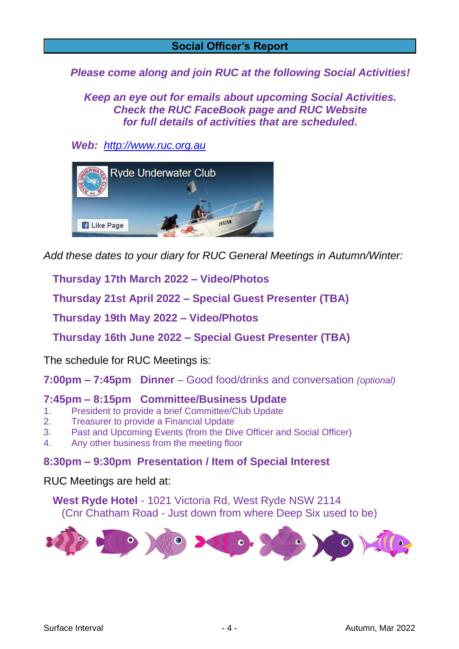#### **Social Officer's Report**

*Please come along and join RUC at the following Social Activities!*

*Keep an eye out for emails about upcoming Social Activities. Check the RUC FaceBook page and RUC Website for full details of activities that are scheduled.*

*Web: [http://www.ruc.org.au](http://www.ruc.org.au/)*



*Add these dates to your diary for RUC General Meetings in Autumn/Winter:*

 **Thursday 17th March 2022 – Video/Photos**

 **Thursday 21st April 2022 – Special Guest Presenter (TBA)**

 **Thursday 19th May 2022 – Video/Photos**

 **Thursday 16th June 2022 – Special Guest Presenter (TBA)**

The schedule for RUC Meetings is:

**7:00pm – 7:45pm Dinner** – Good food/drinks and conversation *(optional)*

#### **7:45pm – 8:15pm Committee/Business Update**

- 1. President to provide a brief Committee/Club Update
- 2. Treasurer to provide a Financial Update
- 3. Past and Upcoming Events (from the Dive Officer and Social Officer)
- 4. Any other business from the meeting floor

#### **8:30pm – 9:30pm Presentation / Item of Special Interest**

RUC Meetings are held at:

 **West Ryde Hotel** - 1021 Victoria Rd, West Ryde NSW 2114 (Cnr Chatham Road - Just down from where Deep Six used to be)

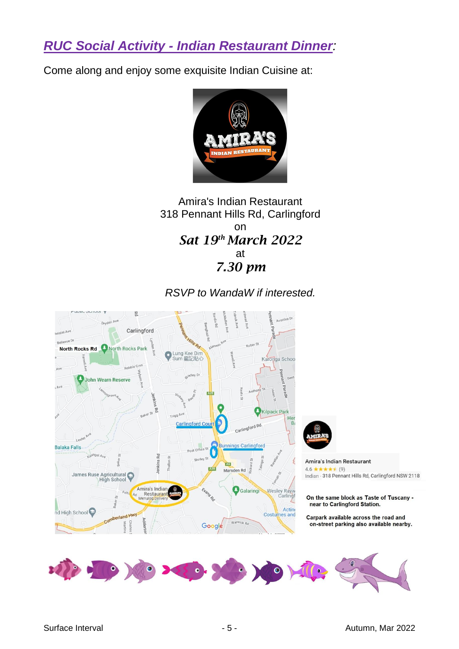*RUC Social Activity - Indian Restaurant Dinner:*

Come along and enjoy some exquisite Indian Cuisine at:



#### Amira's Indian Restaurant 318 Pennant Hills Rd, Carlingford on *Sat 19th March 2022* at *7.30 pm*

## *RSVP to WandaW if interested.*

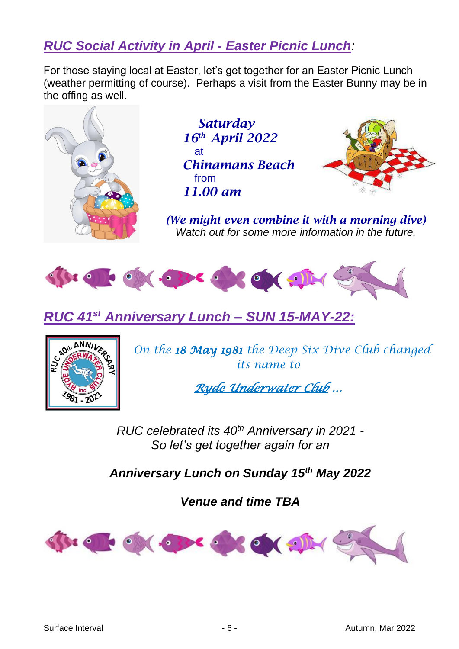# *RUC Social Activity in April - Easter Picnic Lunch:*

For those staying local at Easter, let's get together for an Easter Picnic Lunch (weather permitting of course). Perhaps a visit from the Easter Bunny may be in the offing as well.



 *Saturday 16th April 2022* at *Chinamans Beach* from *11.00 am*



*(We might even combine it with a morning dive) Watch out for some more information in the future.*



*RUC 41st Anniversary Lunch – SUN 15-MAY-22:*



*On the 18 May 1981 the Deep Six Dive Club changed its name to*

*Ryde Underwater Club …* 

*RUC celebrated its 40th Anniversary in 2021 - So let's get together again for an*

*Anniversary Lunch on Sunday 15th May 2022*

*Venue and time TBA*

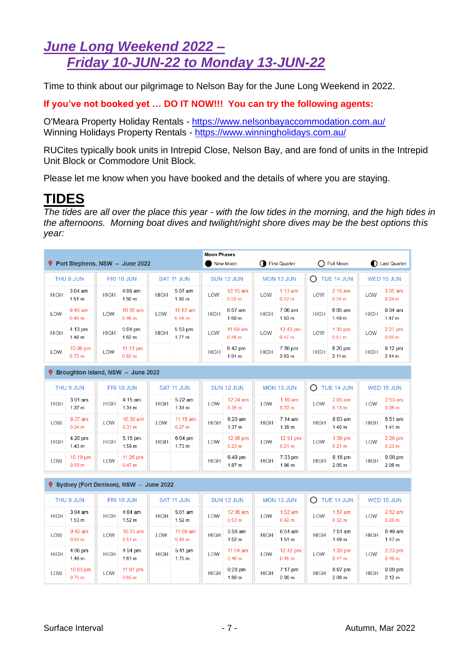# *June Long Weekend 2022 – Friday 10-JUN-22 to Monday 13-JUN-22*

Time to think about our pilgrimage to Nelson Bay for the June Long Weekend in 2022.

**If you've not booked yet … DO IT NOW!!! You can try the following agents:**

O'Meara Property Holiday Rentals - <https://www.nelsonbayaccommodation.com.au/> Winning Holidays Property Rentals - <https://www.winningholidays.com.au/>

RUCites typically book units in Intrepid Close, Nelson Bay, and are fond of units in the Intrepid Unit Block or Commodore Unit Block.

Please let me know when you have booked and the details of where you are staying.

# **TIDES**

*The tides are all over the place this year - with the low tides in the morning, and the high tides in the afternoons. Morning boat dives and twilight/night shore dives may be the best options this year:*

|                                                                                        |                                |             | P Port Stephens, NSW - June 2022  |                   |                                        | <b>Moon Phases</b> | <b>New Moon</b>                |                   | First Quarter                          |              | ◯ Full Moon                    |                   | Last Quarter                   |
|----------------------------------------------------------------------------------------|--------------------------------|-------------|-----------------------------------|-------------------|----------------------------------------|--------------------|--------------------------------|-------------------|----------------------------------------|--------------|--------------------------------|-------------------|--------------------------------|
| THU 9 JUN                                                                              |                                | FRI 10 JUN  |                                   | <b>SAT 11 JUN</b> |                                        | <b>SUN 12 JUN</b>  |                                | <b>MON 13 JUN</b> |                                        | O TUE 14 JUN |                                | <b>WED 15 JUN</b> |                                |
| <b>HIGH</b>                                                                            | $3:04$ am<br>1.51 m            | <b>HIGH</b> | $4:06$ am<br>1.50 <sub>m</sub>    | <b>HIGH</b>       | $5:07$ am<br>1.50 <sub>m</sub>         | LOW                | 12:15 am<br>0.52 <sub>m</sub>  | LOW               | $1:13$ am<br>0.42 m                    | LOW          | $2:10$ am<br>0.34 m            | LOW               | $3:05$ am<br>0.28 m            |
| LOW                                                                                    | $9:40$ am<br>0.49 <sub>m</sub> | LOW         | 10:26 am<br>0.46 m                | LOW               | $11:12$ am<br>0.44 m                   | <b>HIGH</b>        | 6:07 am<br>1.50 <sub>m</sub>   | <b>HIGH</b>       | 7:06 am<br>1.50 <sub>m</sub>           | <b>HIGH</b>  | $8:05$ am<br>1.49 <sub>m</sub> | <b>HIGH</b>       | $9:04$ am<br>1.47 m            |
| <b>HIGH</b>                                                                            | $4:13$ pm<br>1.48 m            | <b>HIGH</b> | $5:04$ pm<br>1.62 <sub>m</sub>    | <b>HIGH</b>       | 5:53 pm<br>1.77 <sub>m</sub>           | LOW                | $11:59$ am<br>0.45 m           | LOW               | $12:45$ pm<br>0.47 m                   | LOW          | $1:35$ pm<br>0.51 m            | LOW               | $2:27$ pm<br>0.55 m            |
| LOW                                                                                    | 10:06 pm<br>$0.72 \text{ m}$   | LOW         | $11:13 \text{ pm}$<br>0.62 m      |                   |                                        | <b>HIGH</b>        | $6:42$ pm<br>1.91 <sub>m</sub> | <b>HIGH</b>       | $7:30$ pm<br>2.03 m                    | <b>HIGH</b>  | $8:20$ pm<br>2.11 m            | <b>HIGH</b>       | $9:12$ pm<br>2.14 m            |
|                                                                                        |                                |             | Broughton Island, NSW - June 2022 |                   |                                        |                    |                                |                   |                                        |              |                                |                   |                                |
| THU 9 JUN<br>FRI 10 JUN                                                                |                                |             | <b>SAT 11 JUN</b>                 |                   | <b>SUN 12 JUN</b>                      |                    | <b>MON 13 JUN</b>              |                   | $O$ TUE 14 JUN                         |              | WED 15 JUN                     |                   |                                |
| <b>HIGH</b>                                                                            | $3:01$ am<br>1.37 <sub>m</sub> | <b>HIGH</b> | $4:15$ am<br>1.34 <sub>m</sub>    | <b>HIGH</b>       | $5:22$ am<br>1.34 <sub>m</sub>         | LOW                | 12:24 am<br>0.35 m             | LOW               | $1:16$ am<br>0.22 <sub>m</sub>         | LOW          | $2:05$ am<br>0.13 m            | LOW               | $2:53$ am<br>0.06 m            |
| LOW                                                                                    | $9:37$ am<br>0.34 m            | LOW         | 10:30 am<br>0.31 m                | LOW               | $11:18$ am<br>0.27 m                   | <b>HIGH</b>        | $6:20$ am<br>1.37 <sub>m</sub> | <b>HIGH</b>       | $7:14 \text{ am}$<br>1.39 <sub>m</sub> | <b>HIGH</b>  | $8:03$ am<br>1.40 <sub>m</sub> | <b>HIGH</b>       | $8:51$ am<br>1.41 m            |
| <b>HIGH</b>                                                                            | $4:20$ pm<br>1.43 m            | <b>HIGH</b> | $5:15$ pm<br>1.58 <sub>m</sub>    | <b>HIGH</b>       | 6:04 pm<br>1.73 m                      | LOW                | $12:06$ pm<br>0.23 m           | LOW               | 12:51 pm<br>0.21 m                     | LOW          | $1:36$ pm<br>0.21 m            | LOW               | $2:20$ pm<br>0.23 m            |
| LOW                                                                                    | 10:19 pm<br>0.59 <sub>m</sub>  | LOW         | $11:26$ pm<br>0.47 m              |                   |                                        | <b>HIGH</b>        | 6:49 pm<br>1.87 <sub>m</sub>   | <b>HIGH</b>       | $7:33$ pm<br>1.98 <sub>m</sub>         | <b>HIGH</b>  | 8:16 pm<br>2.05 m              | <b>HIGH</b>       | $9:00$ pm<br>2.08 m            |
| 9.                                                                                     |                                |             |                                   |                   |                                        |                    |                                |                   |                                        |              |                                |                   |                                |
| Sydney (Fort Denison), NSW - June 2022<br>THU 9 JUN<br><b>SAT 11 JUN</b><br>FRI 10 JUN |                                |             | <b>SUN 12 JUN</b>                 |                   | <b>MON 13 JUN</b>                      |                    | O TUE 14 JUN                   |                   | <b>WED 15 JUN</b>                      |              |                                |                   |                                |
| <b>HIGH</b>                                                                            | $3:04$ am<br>1.53 <sub>m</sub> | <b>HIGH</b> | $4:04$ am<br>1.52 <sub>m</sub>    | <b>HIGH</b>       | $5:01$ am<br>1.52 <sub>m</sub>         | LOW                | 12:06 am<br>0.53 m             | LOW               | $1:02$ am<br>0.42 m                    | LOW          | $1:57$ am<br>0.32 m            | LOW               | $2:52$ am<br>0.26 m            |
| LOW                                                                                    | $9:40$ am<br>0.54 m            | LOW         | 10:25 am<br>0.51 m                | LOW               | 11:09 am<br>0.48 m                     | <b>HIGH</b>        | $5:58$ am<br>1.52 <sub>m</sub> | <b>HIGH</b>       | $6:54$ am<br>1.51 m                    | <b>HIGH</b>  | $7:51$ am<br>1.49 <sub>m</sub> | <b>HIGH</b>       | 8:49 am<br>1.47 m              |
| <b>HIGH</b>                                                                            | $4:06$ pm<br>1.48 <sub>m</sub> | <b>HIGH</b> | $4:54$ pm<br>1.61 <sub>m</sub>    | <b>HIGH</b>       | $5:41 \text{ pm}$<br>1.75 <sub>m</sub> | LOW                | $11:54$ am<br>0.46 m           | <b>LOW</b>        | 12:42 pm<br>0.45 m                     | LOW          | $1:30$ pm<br>0.47 m            | LOW               | $2:23$ pm<br>0.49 <sub>m</sub> |
| <b>LOW</b>                                                                             | 10:03 pm<br>0.75 m             | <b>LOW</b>  | 11:07 pm<br>0.65 m                |                   |                                        | <b>HIGH</b>        | $6:28$ pm<br>1.88 <sub>m</sub> | <b>HIGH</b>       | $7:17$ pm<br>2.00 <sub>m</sub>         | <b>HIGH</b>  | 8:07 pm<br>2.08 <sub>m</sub>   | <b>HIGH</b>       | $9:00$ pm<br>2.12 m            |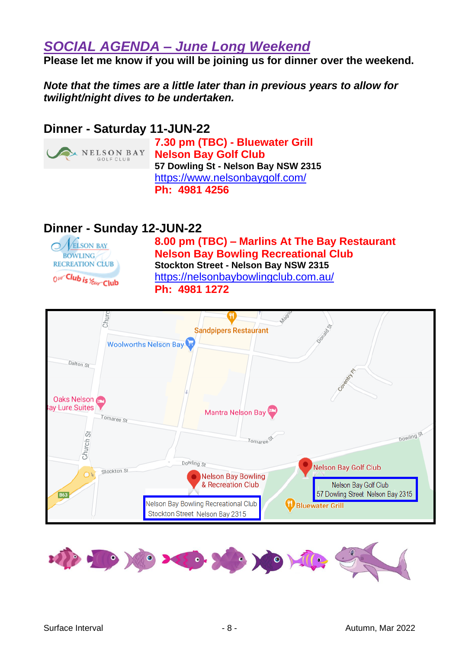## *SOCIAL AGENDA – June Long Weekend*

**Please let me know if you will be joining us for dinner over the weekend.** 

*Note that the times are a little later than in previous years to allow for twilight/night dives to be undertaken.*

### **Dinner - Saturday 11-JUN-22**



**7.30 pm (TBC) - Bluewater Grill Nelson Bay Golf Club 57 Dowling St - Nelson Bay NSW 2315** <https://www.nelsonbaygolf.com/> **Ph: 4981 4256**

## **Dinner - Sunday 12-JUN-22**



**8.00 pm (TBC) – Marlins At The Bay Restaurant Nelson Bay Bowling Recreational Club Stockton Street - Nelson Bay NSW 2315** <https://nelsonbaybowlingclub.com.au/> **Ph: 4981 1272**